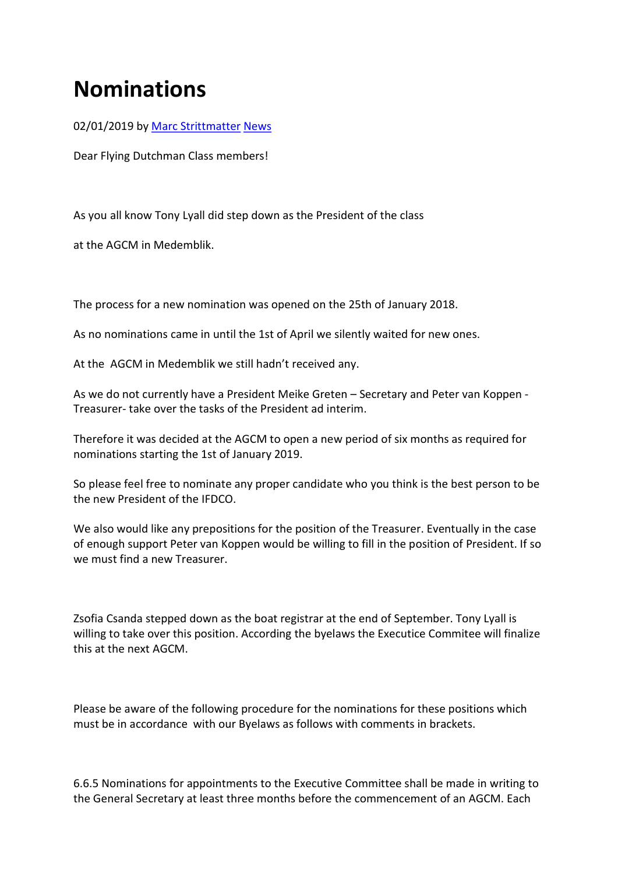## Nominations

02/01/2019 by Marc Strittmatter News

Dear Flying Dutchman Class members!

As you all know Tony Lyall did step down as the President of the class

at the AGCM in Medemblik.

The process for a new nomination was opened on the 25th of January 2018.

As no nominations came in until the 1st of April we silently waited for new ones.

At the AGCM in Medemblik we still hadn't received any.

As we do not currently have a President Meike Greten – Secretary and Peter van Koppen - Treasurer- take over the tasks of the President ad interim.

Therefore it was decided at the AGCM to open a new period of six months as required for nominations starting the 1st of January 2019.

So please feel free to nominate any proper candidate who you think is the best person to be the new President of the IFDCO.

We also would like any prepositions for the position of the Treasurer. Eventually in the case of enough support Peter van Koppen would be willing to fill in the position of President. If so we must find a new Treasurer.

Zsofia Csanda stepped down as the boat registrar at the end of September. Tony Lyall is willing to take over this position. According the byelaws the Executice Commitee will finalize this at the next AGCM.

Please be aware of the following procedure for the nominations for these positions which must be in accordance with our Byelaws as follows with comments in brackets.

6.6.5 Nominations for appointments to the Executive Committee shall be made in writing to the General Secretary at least three months before the commencement of an AGCM. Each